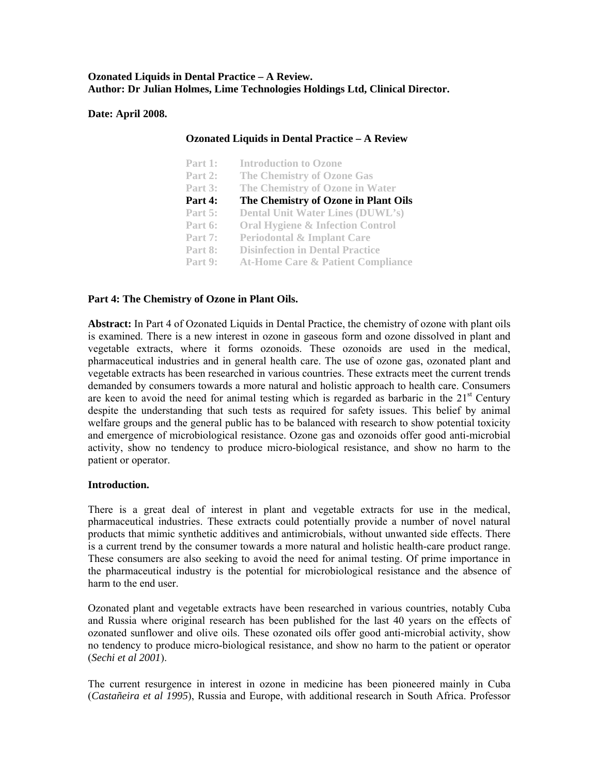## **Ozonated Liquids in Dental Practice – A Review. Author: Dr Julian Holmes, Lime Technologies Holdings Ltd, Clinical Director.**

## **Date: April 2008.**

## **Ozonated Liquids in Dental Practice – A Review**

| Part 1:        | <b>Introduction to Ozone</b>                 |
|----------------|----------------------------------------------|
| Part 2:        | <b>The Chemistry of Ozone Gas</b>            |
| Part 3:        | The Chemistry of Ozone in Water              |
| Part 4:        | The Chemistry of Ozone in Plant Oils         |
| <b>Part 5:</b> | <b>Dental Unit Water Lines (DUWL's)</b>      |
| Part 6:        | <b>Oral Hygiene &amp; Infection Control</b>  |
| Part 7:        | <b>Periodontal &amp; Implant Care</b>        |
| Part 8:        | <b>Disinfection in Dental Practice</b>       |
| Part 9:        | <b>At-Home Care &amp; Patient Compliance</b> |

## **Part 4: The Chemistry of Ozone in Plant Oils.**

**Abstract:** In Part 4 of Ozonated Liquids in Dental Practice, the chemistry of ozone with plant oils is examined. There is a new interest in ozone in gaseous form and ozone dissolved in plant and vegetable extracts, where it forms ozonoids. These ozonoids are used in the medical, pharmaceutical industries and in general health care. The use of ozone gas, ozonated plant and vegetable extracts has been researched in various countries. These extracts meet the current trends demanded by consumers towards a more natural and holistic approach to health care. Consumers are keen to avoid the need for animal testing which is regarded as barbaric in the  $21<sup>st</sup>$  Century despite the understanding that such tests as required for safety issues. This belief by animal welfare groups and the general public has to be balanced with research to show potential toxicity and emergence of microbiological resistance. Ozone gas and ozonoids offer good anti-microbial activity, show no tendency to produce micro-biological resistance, and show no harm to the patient or operator.

#### **Introduction.**

There is a great deal of interest in plant and vegetable extracts for use in the medical, pharmaceutical industries. These extracts could potentially provide a number of novel natural products that mimic synthetic additives and antimicrobials, without unwanted side effects. There is a current trend by the consumer towards a more natural and holistic health-care product range. These consumers are also seeking to avoid the need for animal testing. Of prime importance in the pharmaceutical industry is the potential for microbiological resistance and the absence of harm to the end user.

Ozonated plant and vegetable extracts have been researched in various countries, notably Cuba and Russia where original research has been published for the last 40 years on the effects of ozonated sunflower and olive oils. These ozonated oils offer good anti-microbial activity, show no tendency to produce micro-biological resistance, and show no harm to the patient or operator (*Sechi et al 2001*).

The current resurgence in interest in ozone in medicine has been pioneered mainly in Cuba (*Castañeira et al 1995*), Russia and Europe, with additional research in South Africa. Professor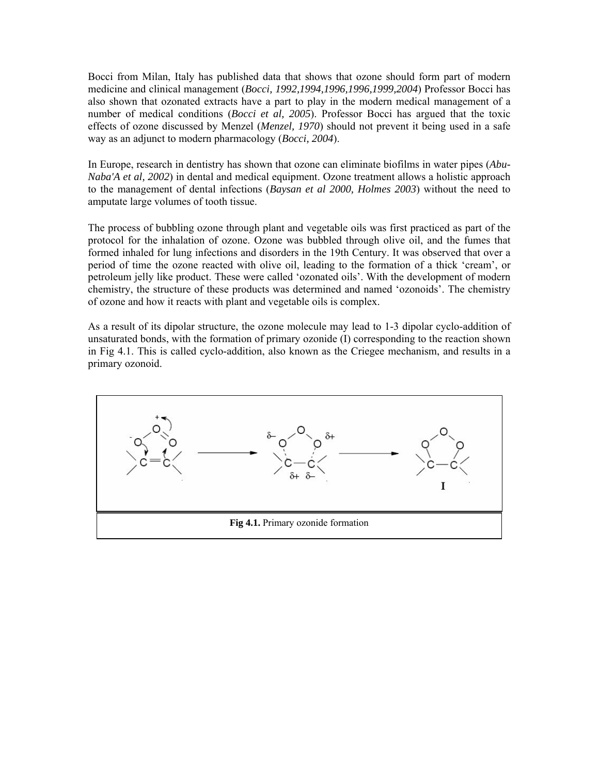Bocci from Milan, Italy has published data that shows that ozone should form part of modern medicine and clinical management (*Bocci, 1992,1994,1996,1996,1999,2004*) Professor Bocci has also shown that ozonated extracts have a part to play in the modern medical management of a number of medical conditions (*Bocci et al, 2005*). Professor Bocci has argued that the toxic effects of ozone discussed by Menzel (*Menzel, 1970*) should not prevent it being used in a safe way as an adjunct to modern pharmacology (*Bocci, 2004*).

In Europe, research in dentistry has shown that ozone can eliminate biofilms in water pipes (*Abu-Naba'A et al, 2002*) in dental and medical equipment. Ozone treatment allows a holistic approach to the management of dental infections (*Baysan et al 2000, Holmes 2003*) without the need to amputate large volumes of tooth tissue.

The process of bubbling ozone through plant and vegetable oils was first practiced as part of the protocol for the inhalation of ozone. Ozone was bubbled through olive oil, and the fumes that formed inhaled for lung infections and disorders in the 19th Century. It was observed that over a period of time the ozone reacted with olive oil, leading to the formation of a thick 'cream', or petroleum jelly like product. These were called 'ozonated oils'. With the development of modern chemistry, the structure of these products was determined and named 'ozonoids'. The chemistry of ozone and how it reacts with plant and vegetable oils is complex.

As a result of its dipolar structure, the ozone molecule may lead to 1-3 dipolar cyclo-addition of unsaturated bonds, with the formation of primary ozonide (I) corresponding to the reaction shown in Fig 4.1. This is called cyclo-addition, also known as the Criegee mechanism, and results in a primary ozonoid.

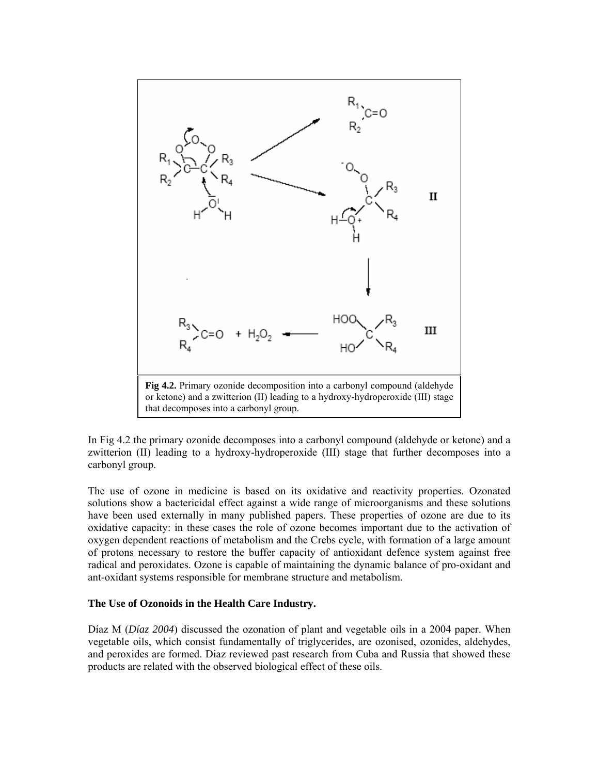

In Fig 4.2 the primary ozonide decomposes into a carbonyl compound (aldehyde or ketone) and a zwitterion (II) leading to a hydroxy-hydroperoxide (III) stage that further decomposes into a carbonyl group.

The use of ozone in medicine is based on its oxidative and reactivity properties. Ozonated solutions show a bactericidal effect against a wide range of microorganisms and these solutions have been used externally in many published papers. These properties of ozone are due to its oxidative capacity: in these cases the role of ozone becomes important due to the activation of oxygen dependent reactions of metabolism and the Crebs cycle, with formation of a large amount of protons necessary to restore the buffer capacity of antioxidant defence system against free radical and peroxidates. Ozone is capable of maintaining the dynamic balance of pro-oxidant and ant-oxidant systems responsible for membrane structure and metabolism.

#### **The Use of Ozonoids in the Health Care Industry.**

Díaz M (*Díaz 2004*) discussed the ozonation of plant and vegetable oils in a 2004 paper. When vegetable oils, which consist fundamentally of triglycerides, are ozonised, ozonides, aldehydes, and peroxides are formed. Diaz reviewed past research from Cuba and Russia that showed these products are related with the observed biological effect of these oils.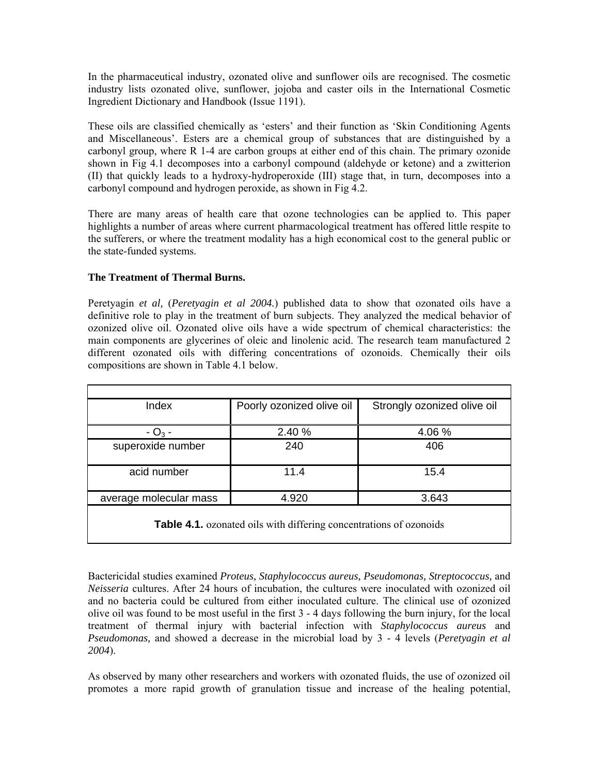In the pharmaceutical industry, ozonated olive and sunflower oils are recognised. The cosmetic industry lists ozonated olive, sunflower, jojoba and caster oils in the International Cosmetic Ingredient Dictionary and Handbook (Issue 1191).

These oils are classified chemically as 'esters' and their function as 'Skin Conditioning Agents and Miscellaneous'. Esters are a chemical group of substances that are distinguished by a carbonyl group, where R 1-4 are carbon groups at either end of this chain. The primary ozonide shown in Fig 4.1 decomposes into a carbonyl compound (aldehyde or ketone) and a zwitterion (II) that quickly leads to a hydroxy-hydroperoxide (III) stage that, in turn, decomposes into a carbonyl compound and hydrogen peroxide, as shown in Fig 4.2.

There are many areas of health care that ozone technologies can be applied to. This paper highlights a number of areas where current pharmacological treatment has offered little respite to the sufferers, or where the treatment modality has a high economical cost to the general public or the state-funded systems.

# **The Treatment of Thermal Burns.**

Peretyagin *et al,* (*Peretyagin et al 2004.*) published data to show that ozonated oils have a definitive role to play in the treatment of burn subjects. They analyzed the medical behavior of ozonized olive oil. Ozonated olive oils have a wide spectrum of chemical characteristics: the main components are glycerines of oleic and linolenic acid. The research team manufactured 2 different ozonated oils with differing concentrations of ozonoids. Chemically their oils compositions are shown in Table 4.1 below.

| Index                  | Poorly ozonized olive oil | Strongly ozonized olive oil |  |
|------------------------|---------------------------|-----------------------------|--|
|                        |                           |                             |  |
| $- O_3 -$              | 2.40 %                    | 4.06 %                      |  |
| superoxide number      | 240                       | 406                         |  |
|                        |                           |                             |  |
| acid number            | 11.4                      | 15.4                        |  |
|                        |                           |                             |  |
| average molecular mass | 4.920                     | 3.643                       |  |
|                        |                           |                             |  |

**Table 4.1.** ozonated oils with differing concentrations of ozonoids

Bactericidal studies examined *Proteus, Staphylococcus aureus, Pseudomonas, Streptococcus,* and *Neisseria* cultures. After 24 hours of incubation, the cultures were inoculated with ozonized oil and no bacteria could be cultured from either inoculated culture. The clinical use of ozonized olive oil was found to be most useful in the first 3 - 4 days following the burn injury, for the local treatment of thermal injury with bacterial infection with *Staphylococcus aureus* and *Pseudomonas,* and showed a decrease in the microbial load by 3 - 4 levels (*Peretyagin et al 2004*).

As observed by many other researchers and workers with ozonated fluids, the use of ozonized oil promotes a more rapid growth of granulation tissue and increase of the healing potential,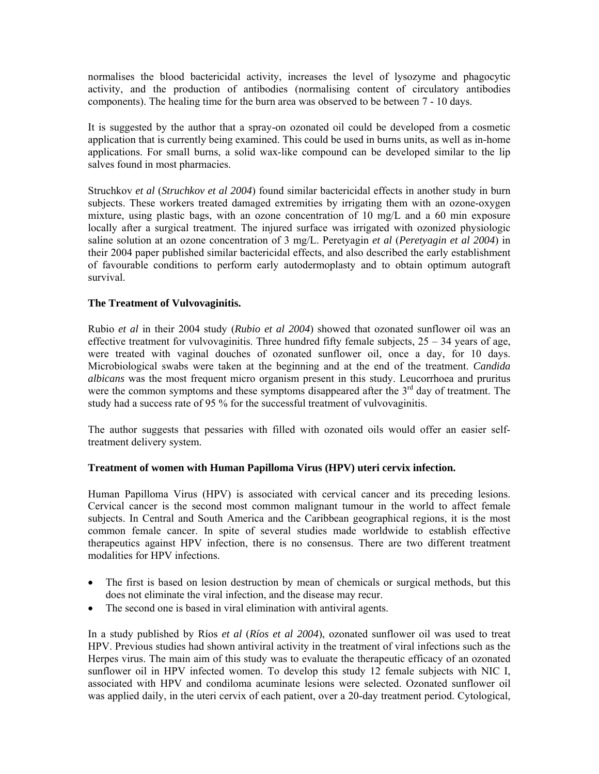normalises the blood bactericidal activity, increases the level of lysozyme and phagocytic activity, and the production of antibodies (normalising content of circulatory antibodies components). The healing time for the burn area was observed to be between 7 - 10 days.

It is suggested by the author that a spray-on ozonated oil could be developed from a cosmetic application that is currently being examined. This could be used in burns units, as well as in-home applications. For small burns, a solid wax-like compound can be developed similar to the lip salves found in most pharmacies.

Struchkov *et al* (*Struchkov et al 2004*) found similar bactericidal effects in another study in burn subjects. These workers treated damaged extremities by irrigating them with an ozone-oxygen mixture, using plastic bags, with an ozone concentration of 10 mg/L and a 60 min exposure locally after a surgical treatment. The injured surface was irrigated with ozonized physiologic saline solution at an ozone concentration of 3 mg/L. Peretyagin *et al* (*Peretyagin et al 2004*) in their 2004 paper published similar bactericidal effects, and also described the early establishment of favourable conditions to perform early autodermoplasty and to obtain optimum autograft survival.

## **The Treatment of Vulvovaginitis.**

Rubio *et al* in their 2004 study (*Rubio et al 2004*) showed that ozonated sunflower oil was an effective treatment for vulvovaginitis. Three hundred fifty female subjects,  $25 - 34$  years of age, were treated with vaginal douches of ozonated sunflower oil, once a day, for 10 days. Microbiological swabs were taken at the beginning and at the end of the treatment. *Candida albicans* was the most frequent micro organism present in this study. Leucorrhoea and pruritus were the common symptoms and these symptoms disappeared after the  $3<sup>rd</sup>$  day of treatment. The study had a success rate of 95 % for the successful treatment of vulvovaginitis.

The author suggests that pessaries with filled with ozonated oils would offer an easier selftreatment delivery system.

## **Treatment of women with Human Papilloma Virus (HPV) uteri cervix infection.**

Human Papilloma Virus (HPV) is associated with cervical cancer and its preceding lesions. Cervical cancer is the second most common malignant tumour in the world to affect female subjects. In Central and South America and the Caribbean geographical regions, it is the most common female cancer. In spite of several studies made worldwide to establish effective therapeutics against HPV infection, there is no consensus. There are two different treatment modalities for HPV infections.

- The first is based on lesion destruction by mean of chemicals or surgical methods, but this does not eliminate the viral infection, and the disease may recur.
- The second one is based in viral elimination with antiviral agents.

In a study published by Ríos *et al* (*Ríos et al 2004*), ozonated sunflower oil was used to treat HPV. Previous studies had shown antiviral activity in the treatment of viral infections such as the Herpes virus. The main aim of this study was to evaluate the therapeutic efficacy of an ozonated sunflower oil in HPV infected women. To develop this study 12 female subjects with NIC I, associated with HPV and condiloma acuminate lesions were selected. Ozonated sunflower oil was applied daily, in the uteri cervix of each patient, over a 20-day treatment period. Cytological,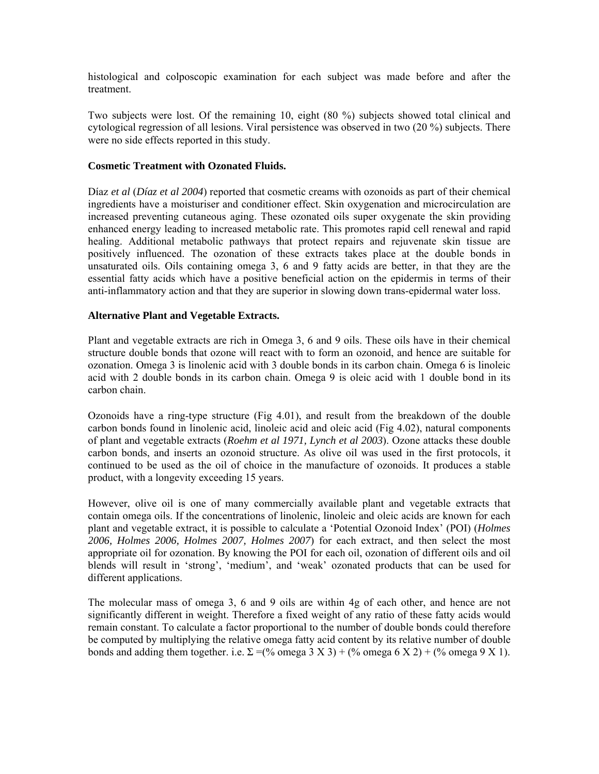histological and colposcopic examination for each subject was made before and after the treatment.

Two subjects were lost. Of the remaining 10, eight (80 %) subjects showed total clinical and cytological regression of all lesions. Viral persistence was observed in two (20 %) subjects. There were no side effects reported in this study.

#### **Cosmetic Treatment with Ozonated Fluids.**

Díaz *et al* (*Díaz et al 2004*) reported that cosmetic creams with ozonoids as part of their chemical ingredients have a moisturiser and conditioner effect. Skin oxygenation and microcirculation are increased preventing cutaneous aging. These ozonated oils super oxygenate the skin providing enhanced energy leading to increased metabolic rate. This promotes rapid cell renewal and rapid healing. Additional metabolic pathways that protect repairs and rejuvenate skin tissue are positively influenced. The ozonation of these extracts takes place at the double bonds in unsaturated oils. Oils containing omega 3, 6 and 9 fatty acids are better, in that they are the essential fatty acids which have a positive beneficial action on the epidermis in terms of their anti-inflammatory action and that they are superior in slowing down trans-epidermal water loss.

## **Alternative Plant and Vegetable Extracts.**

Plant and vegetable extracts are rich in Omega 3, 6 and 9 oils. These oils have in their chemical structure double bonds that ozone will react with to form an ozonoid, and hence are suitable for ozonation. Omega 3 is linolenic acid with 3 double bonds in its carbon chain. Omega 6 is linoleic acid with 2 double bonds in its carbon chain. Omega 9 is oleic acid with 1 double bond in its carbon chain.

Ozonoids have a ring-type structure (Fig 4.01), and result from the breakdown of the double carbon bonds found in linolenic acid, linoleic acid and oleic acid (Fig 4.02), natural components of plant and vegetable extracts (*Roehm et al 1971, Lynch et al 2003*). Ozone attacks these double carbon bonds, and inserts an ozonoid structure. As olive oil was used in the first protocols, it continued to be used as the oil of choice in the manufacture of ozonoids. It produces a stable product, with a longevity exceeding 15 years.

However, olive oil is one of many commercially available plant and vegetable extracts that contain omega oils. If the concentrations of linolenic, linoleic and oleic acids are known for each plant and vegetable extract, it is possible to calculate a 'Potential Ozonoid Index' (POI) (*Holmes 2006, Holmes 2006, Holmes 2007, Holmes 2007*) for each extract, and then select the most appropriate oil for ozonation. By knowing the POI for each oil, ozonation of different oils and oil blends will result in 'strong', 'medium', and 'weak' ozonated products that can be used for different applications.

The molecular mass of omega 3, 6 and 9 oils are within 4g of each other, and hence are not significantly different in weight. Therefore a fixed weight of any ratio of these fatty acids would remain constant. To calculate a factor proportional to the number of double bonds could therefore be computed by multiplying the relative omega fatty acid content by its relative number of double bonds and adding them together. i.e.  $\Sigma = (% \text{omega } 3 \times 3) + (^{\circ}\text{omega } 6 \times 2) + (^{\circ}\text{omega } 9 \times 1)$ .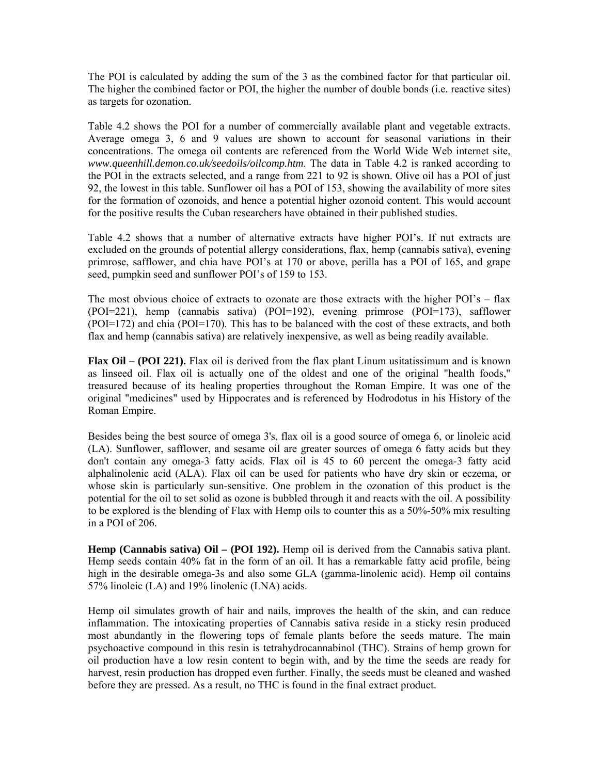The POI is calculated by adding the sum of the 3 as the combined factor for that particular oil. The higher the combined factor or POI, the higher the number of double bonds (i.e. reactive sites) as targets for ozonation.

Table 4.2 shows the POI for a number of commercially available plant and vegetable extracts. Average omega 3, 6 and 9 values are shown to account for seasonal variations in their concentrations. The omega oil contents are referenced from the World Wide Web internet site, *www.queenhill.demon.co.uk/seedoils/oilcomp.htm*. The data in Table 4.2 is ranked according to the POI in the extracts selected, and a range from 221 to 92 is shown. Olive oil has a POI of just 92, the lowest in this table. Sunflower oil has a POI of 153, showing the availability of more sites for the formation of ozonoids, and hence a potential higher ozonoid content. This would account for the positive results the Cuban researchers have obtained in their published studies.

Table 4.2 shows that a number of alternative extracts have higher POI's. If nut extracts are excluded on the grounds of potential allergy considerations, flax, hemp (cannabis sativa), evening primrose, safflower, and chia have POI's at 170 or above, perilla has a POI of 165, and grape seed, pumpkin seed and sunflower POI's of 159 to 153.

The most obvious choice of extracts to ozonate are those extracts with the higher POI's – flax (POI=221), hemp (cannabis sativa) (POI=192), evening primrose (POI=173), safflower (POI=172) and chia (POI=170). This has to be balanced with the cost of these extracts, and both flax and hemp (cannabis sativa) are relatively inexpensive, as well as being readily available.

**Flax Oil – (POI 221).** Flax oil is derived from the flax plant Linum usitatissimum and is known as linseed oil. Flax oil is actually one of the oldest and one of the original "health foods," treasured because of its healing properties throughout the Roman Empire. It was one of the original "medicines" used by Hippocrates and is referenced by Hodrodotus in his History of the Roman Empire.

Besides being the best source of omega 3's, flax oil is a good source of omega 6, or linoleic acid (LA). Sunflower, safflower, and sesame oil are greater sources of omega 6 fatty acids but they don't contain any omega-3 fatty acids. Flax oil is 45 to 60 percent the omega-3 fatty acid alphalinolenic acid (ALA). Flax oil can be used for patients who have dry skin or eczema, or whose skin is particularly sun-sensitive. One problem in the ozonation of this product is the potential for the oil to set solid as ozone is bubbled through it and reacts with the oil. A possibility to be explored is the blending of Flax with Hemp oils to counter this as a 50%-50% mix resulting in a POI of 206.

**Hemp (Cannabis sativa) Oil – (POI 192).** Hemp oil is derived from the Cannabis sativa plant. Hemp seeds contain 40% fat in the form of an oil. It has a remarkable fatty acid profile, being high in the desirable omega-3s and also some GLA (gamma-linolenic acid). Hemp oil contains 57% linoleic (LA) and 19% linolenic (LNA) acids.

Hemp oil simulates growth of hair and nails, improves the health of the skin, and can reduce inflammation. The intoxicating properties of Cannabis sativa reside in a sticky resin produced most abundantly in the flowering tops of female plants before the seeds mature. The main psychoactive compound in this resin is tetrahydrocannabinol (THC). Strains of hemp grown for oil production have a low resin content to begin with, and by the time the seeds are ready for harvest, resin production has dropped even further. Finally, the seeds must be cleaned and washed before they are pressed. As a result, no THC is found in the final extract product.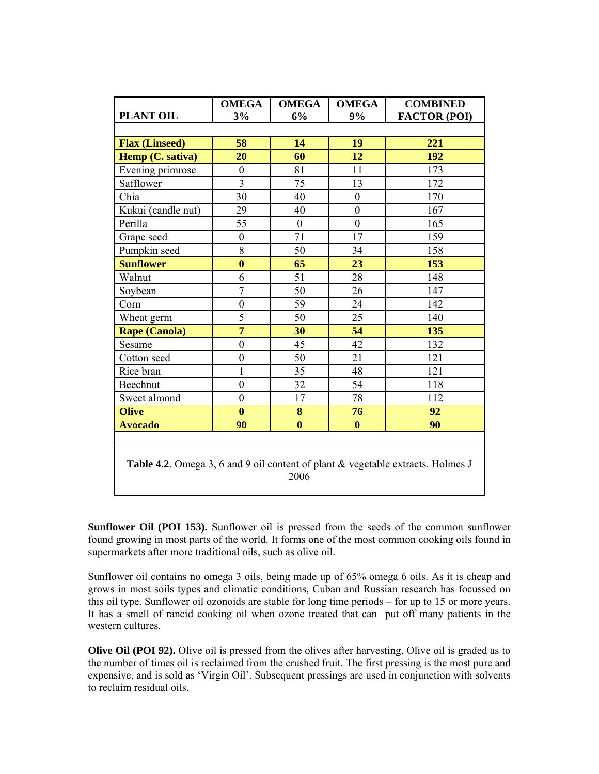| PLANT OIL                                                                               | <b>OMEGA</b><br>3% | <b>OMEGA</b><br>6% | <b>OMEGA</b><br>9% | <b>COMBINED</b><br><b>FACTOR (POI)</b> |  |  |
|-----------------------------------------------------------------------------------------|--------------------|--------------------|--------------------|----------------------------------------|--|--|
| <b>Flax (Linseed)</b>                                                                   | 58                 | 14                 | 19                 | 221                                    |  |  |
| Hemp (C. sativa)                                                                        | 20                 | 60                 | 12                 | 192                                    |  |  |
| Evening primrose                                                                        | $\theta$           | 81                 | 11                 | 173                                    |  |  |
| Safflower                                                                               | 3                  | 75                 | 13                 | 172                                    |  |  |
| Chia                                                                                    | 30                 | 40                 | $\boldsymbol{0}$   | 170                                    |  |  |
| Kukui (candle nut)                                                                      | 29                 | 40                 | $\boldsymbol{0}$   | 167                                    |  |  |
| Perilla                                                                                 | 55                 | $\boldsymbol{0}$   | $\overline{0}$     | 165                                    |  |  |
| Grape seed                                                                              | $\boldsymbol{0}$   | 71                 | 17                 | 159                                    |  |  |
| Pumpkin seed                                                                            | 8                  | 50                 | 34                 | 158                                    |  |  |
| <b>Sunflower</b>                                                                        | $\bf{0}$           | 65                 | 23                 | 153                                    |  |  |
| Walnut                                                                                  | 6                  | 51                 | 28                 | 148                                    |  |  |
| Soybean                                                                                 | 7                  | 50                 | 26                 | 147                                    |  |  |
| Corn                                                                                    | $\overline{0}$     | 59                 | 24                 | 142                                    |  |  |
| Wheat germ                                                                              | 5                  | 50                 | 25                 | 140                                    |  |  |
| <b>Rape (Canola)</b>                                                                    | $\overline{7}$     | 30                 | 54                 | 135                                    |  |  |
| Sesame                                                                                  | $\boldsymbol{0}$   | 45                 | 42                 | 132                                    |  |  |
| Cotton seed                                                                             | $\boldsymbol{0}$   | 50                 | 21                 | 121                                    |  |  |
| Rice bran                                                                               | $\mathbf{1}$       | 35                 | 48                 | 121                                    |  |  |
| Beechnut                                                                                | $\boldsymbol{0}$   | 32                 | 54                 | 118                                    |  |  |
| Sweet almond                                                                            | $\boldsymbol{0}$   | 17                 | 78                 | 112                                    |  |  |
| <b>Olive</b>                                                                            | $\bf{0}$           | 8                  | 76                 | 92                                     |  |  |
| <b>Avocado</b>                                                                          | 90                 | $\mathbf{0}$       | $\mathbf{0}$       | 90                                     |  |  |
|                                                                                         |                    |                    |                    |                                        |  |  |
| Table 4.2. Omega 3, 6 and 9 oil content of plant & vegetable extracts. Holmes J<br>2006 |                    |                    |                    |                                        |  |  |

**Sunflower Oil (POI 153).** Sunflower oil is pressed from the seeds of the common sunflower found growing in most parts of the world. It forms one of the most common cooking oils found in supermarkets after more traditional oils, such as olive oil.

Sunflower oil contains no omega 3 oils, being made up of 65% omega 6 oils. As it is cheap and grows in most soils types and climatic conditions, Cuban and Russian research has focussed on this oil type. Sunflower oil ozonoids are stable for long time periods – for up to 15 or more years. It has a smell of rancid cooking oil when ozone treated that can put off many patients in the western cultures.

**Olive Oil (POI 92).** Olive oil is pressed from the olives after harvesting. Olive oil is graded as to the number of times oil is reclaimed from the crushed fruit. The first pressing is the most pure and expensive, and is sold as 'Virgin Oil'. Subsequent pressings are used in conjunction with solvents to reclaim residual oils.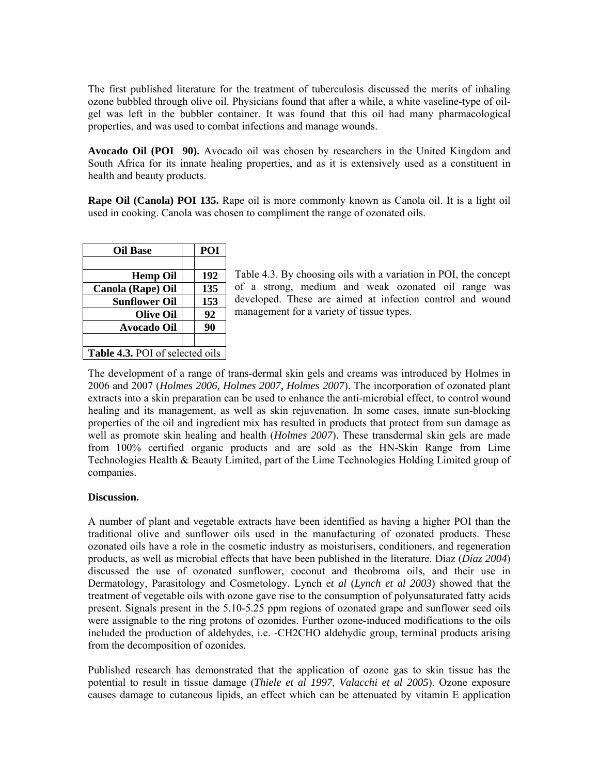The first published literature for the treatment of tuberculosis discussed the merits of inhaling ozone bubbled through olive oil. Physicians found that after a while, a white vaseline-type of oilgel was left in the bubbler container. It was found that this oil had many pharmacological properties, and was used to combat infections and manage wounds.

**Avocado Oil (POI 90).** Avocado oil was chosen by researchers in the United Kingdom and South Africa for its innate healing properties, and as it is extensively used as a constituent in health and beauty products.

**Rape Oil (Canola) POI 135.** Rape oil is more commonly known as Canola oil. It is a light oil used in cooking. Canola was chosen to compliment the range of ozonated oils.

| <b>Oil Base</b>                 | POI |  |  |
|---------------------------------|-----|--|--|
|                                 |     |  |  |
| <b>Hemp Oil</b>                 | 192 |  |  |
| Canola (Rape) Oil               | 135 |  |  |
| <b>Sunflower Oil</b>            | 153 |  |  |
| <b>Olive Oil</b>                | 92  |  |  |
| <b>Avocado Oil</b>              | 90  |  |  |
|                                 |     |  |  |
| Table 4.3. POI of selected oils |     |  |  |

Table 4.3. By choosing oils with a variation in POI, the concept of a strong, medium and weak ozonated oil range was developed. These are aimed at infection control and wound management for a variety of tissue types.

The development of a range of trans-dermal skin gels and creams was introduced by Holmes in 2006 and 2007 (*Holmes 2006, Holmes 2007, Holmes 2007*). The incorporation of ozonated plant extracts into a skin preparation can be used to enhance the anti-microbial effect, to control wound healing and its management, as well as skin rejuvenation. In some cases, innate sun-blocking properties of the oil and ingredient mix has resulted in products that protect from sun damage as well as promote skin healing and health (*Holmes 2007*). These transdermal skin gels are made from 100% certified organic products and are sold as the HN-Skin Range from Lime Technologies Health & Beauty Limited, part of the Lime Technologies Holding Limited group of companies.

#### **Discussion.**

A number of plant and vegetable extracts have been identified as having a higher POI than the traditional olive and sunflower oils used in the manufacturing of ozonated products. These ozonated oils have a role in the cosmetic industry as moisturisers, conditioners, and regeneration products, as well as microbial effects that have been published in the literature. Díaz (*Díaz 2004*) discussed the use of ozonated sunflower, coconut and theobroma oils, and their use in Dermatology, Parasitology and Cosmetology. Lynch e*t al* (*Lynch et al 2003*) showed that the treatment of vegetable oils with ozone gave rise to the consumption of polyunsaturated fatty acids present. Signals present in the 5.10-5.25 ppm regions of ozonated grape and sunflower seed oils were assignable to the ring protons of ozonides. Further ozone-induced modifications to the oils included the production of aldehydes, i.e. -CH2CHO aldehydic group, terminal products arising from the decomposition of ozonides.

Published research has demonstrated that the application of ozone gas to skin tissue has the potential to result in tissue damage (*Thiele et al 1997, Valacchi et al 2005*). Ozone exposure causes damage to cutaneous lipids, an effect which can be attenuated by vitamin E application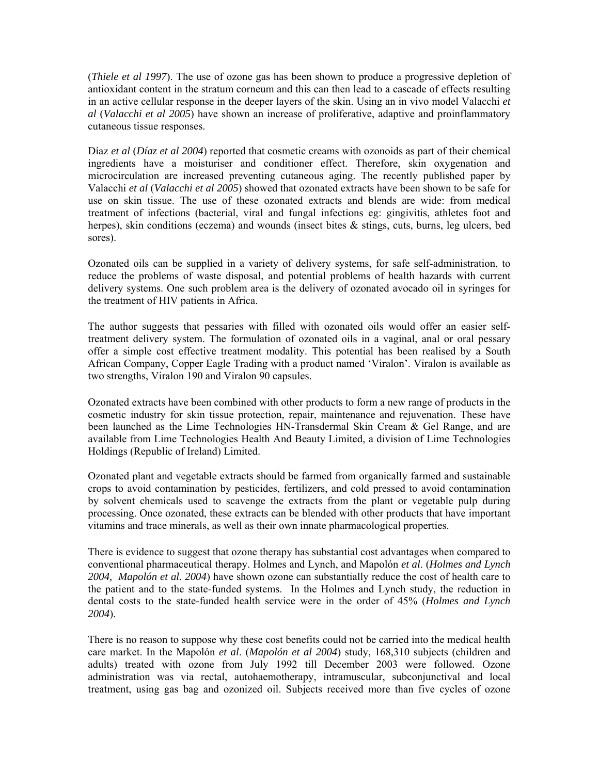(*Thiele et al 1997*). The use of ozone gas has been shown to produce a progressive depletion of antioxidant content in the stratum corneum and this can then lead to a cascade of effects resulting in an active cellular response in the deeper layers of the skin. Using an in vivo model Valacchi *et al* (*Valacchi et al 2005*) have shown an increase of proliferative, adaptive and proinflammatory cutaneous tissue responses.

Díaz *et al* (*Díaz et al 2004*) reported that cosmetic creams with ozonoids as part of their chemical ingredients have a moisturiser and conditioner effect. Therefore, skin oxygenation and microcirculation are increased preventing cutaneous aging. The recently published paper by Valacchi *et al* (*Valacchi et al 2005*) showed that ozonated extracts have been shown to be safe for use on skin tissue. The use of these ozonated extracts and blends are wide: from medical treatment of infections (bacterial, viral and fungal infections eg: gingivitis, athletes foot and herpes), skin conditions (eczema) and wounds (insect bites & stings, cuts, burns, leg ulcers, bed sores).

Ozonated oils can be supplied in a variety of delivery systems, for safe self-administration, to reduce the problems of waste disposal, and potential problems of health hazards with current delivery systems. One such problem area is the delivery of ozonated avocado oil in syringes for the treatment of HIV patients in Africa.

The author suggests that pessaries with filled with ozonated oils would offer an easier selftreatment delivery system. The formulation of ozonated oils in a vaginal, anal or oral pessary offer a simple cost effective treatment modality. This potential has been realised by a South African Company, Copper Eagle Trading with a product named 'Viralon'. Viralon is available as two strengths, Viralon 190 and Viralon 90 capsules.

Ozonated extracts have been combined with other products to form a new range of products in the cosmetic industry for skin tissue protection, repair, maintenance and rejuvenation. These have been launched as the Lime Technologies HN-Transdermal Skin Cream & Gel Range, and are available from Lime Technologies Health And Beauty Limited, a division of Lime Technologies Holdings (Republic of Ireland) Limited.

Ozonated plant and vegetable extracts should be farmed from organically farmed and sustainable crops to avoid contamination by pesticides, fertilizers, and cold pressed to avoid contamination by solvent chemicals used to scavenge the extracts from the plant or vegetable pulp during processing. Once ozonated, these extracts can be blended with other products that have important vitamins and trace minerals, as well as their own innate pharmacological properties.

There is evidence to suggest that ozone therapy has substantial cost advantages when compared to conventional pharmaceutical therapy. Holmes and Lynch, and Mapolón *et al*. (*Holmes and Lynch 2004, Mapolón et al. 2004*) have shown ozone can substantially reduce the cost of health care to the patient and to the state-funded systems. In the Holmes and Lynch study, the reduction in dental costs to the state-funded health service were in the order of 45% (*Holmes and Lynch 2004*).

There is no reason to suppose why these cost benefits could not be carried into the medical health care market. In the Mapolón *et al*. (*Mapolón et al 2004*) study, 168,310 subjects (children and adults) treated with ozone from July 1992 till December 2003 were followed. Ozone administration was via rectal, autohaemotherapy, intramuscular, subconjunctival and local treatment, using gas bag and ozonized oil. Subjects received more than five cycles of ozone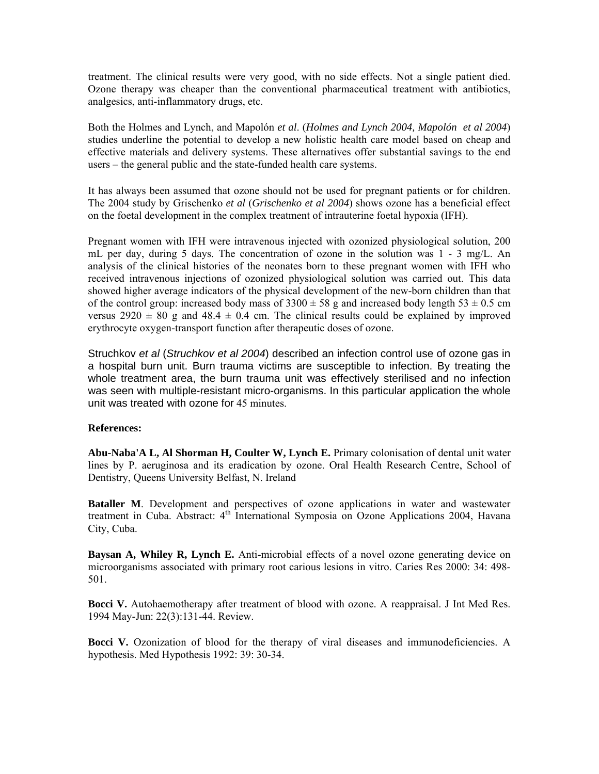treatment. The clinical results were very good, with no side effects. Not a single patient died. Ozone therapy was cheaper than the conventional pharmaceutical treatment with antibiotics, analgesics, anti-inflammatory drugs, etc.

Both the Holmes and Lynch, and Mapolón *et al*. (*Holmes and Lynch 2004, Mapolón et al 2004*) studies underline the potential to develop a new holistic health care model based on cheap and effective materials and delivery systems. These alternatives offer substantial savings to the end users – the general public and the state-funded health care systems.

It has always been assumed that ozone should not be used for pregnant patients or for children. The 2004 study by Grischenko *et al* (*Grischenko et al 2004*) shows ozone has a beneficial effect on the foetal development in the complex treatment of intrauterine foetal hypoxia (IFH).

Pregnant women with IFH were intravenous injected with ozonized physiological solution, 200 mL per day, during 5 days. The concentration of ozone in the solution was 1 - 3 mg/L. An analysis of the clinical histories of the neonates born to these pregnant women with IFH who received intravenous injections of ozonized physiological solution was carried out. This data showed higher average indicators of the physical development of the new-born children than that of the control group: increased body mass of  $3300 \pm 58$  g and increased body length  $53 \pm 0.5$  cm versus  $2920 \pm 80$  g and  $48.4 \pm 0.4$  cm. The clinical results could be explained by improved erythrocyte oxygen-transport function after therapeutic doses of ozone.

Struchkov *et al* (*Struchkov et al 2004*) described an infection control use of ozone gas in a hospital burn unit. Burn trauma victims are susceptible to infection. By treating the whole treatment area, the burn trauma unit was effectively sterilised and no infection was seen with multiple-resistant micro-organisms. In this particular application the whole unit was treated with ozone for 45 minutes.

## **References:**

**Abu-Naba'A L, Al Shorman H, Coulter W, Lynch E.** Primary colonisation of dental unit water lines by P. aeruginosa and its eradication by ozone. Oral Health Research Centre, School of Dentistry, Queens University Belfast, N. Ireland

**Bataller M**. Development and perspectives of ozone applications in water and wastewater treatment in Cuba. Abstract:  $4<sup>th</sup>$  International Symposia on Ozone Applications 2004, Havana City, Cuba.

**Baysan A, Whiley R, Lynch E.** Anti-microbial effects of a novel ozone generating device on microorganisms associated with primary root carious lesions in vitro. Caries Res 2000: 34: 498- 501.

**Bocci V.** Autohaemotherapy after treatment of blood with ozone. A reappraisal. J Int Med Res. 1994 May-Jun: 22(3):131-44. Review.

**Bocci V.** Ozonization of blood for the therapy of viral diseases and immunodeficiencies. A hypothesis. Med Hypothesis 1992: 39: 30-34.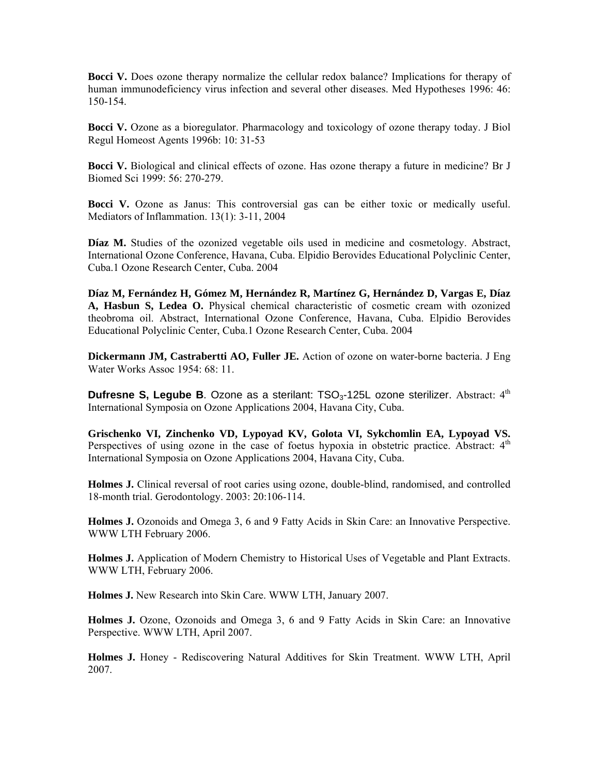**Bocci V.** Does ozone therapy normalize the cellular redox balance? Implications for therapy of human immunodeficiency virus infection and several other diseases. Med Hypotheses 1996: 46: 150-154.

**Bocci V.** Ozone as a bioregulator. Pharmacology and toxicology of ozone therapy today. J Biol Regul Homeost Agents 1996b: 10: 31-53

**Bocci V.** Biological and clinical effects of ozone. Has ozone therapy a future in medicine? Br J Biomed Sci 1999: 56: 270-279.

**Bocci V.** Ozone as Janus: This controversial gas can be either toxic or medically useful. Mediators of Inflammation. 13(1): 3-11, 2004

**Díaz M.** Studies of the ozonized vegetable oils used in medicine and cosmetology. Abstract, International Ozone Conference, Havana, Cuba. Elpidio Berovides Educational Polyclinic Center, Cuba.1 Ozone Research Center, Cuba. 2004

**Díaz M, Fernández H, Gómez M, Hernández R, Martínez G, Hernández D, Vargas E, Díaz A, Hasbun S, Ledea O.** Physical chemical characteristic of cosmetic cream with ozonized theobroma oil. Abstract, International Ozone Conference, Havana, Cuba. Elpidio Berovides Educational Polyclinic Center, Cuba.1 Ozone Research Center, Cuba. 2004

**Dickermann JM, Castrabertti AO, Fuller JE.** Action of ozone on water-borne bacteria. J Eng Water Works Assoc 1954: 68: 11.

**Dufresne S, Legube B.** Ozone as a sterilant: TSO<sub>3</sub>-125L ozone sterilizer. Abstract: 4<sup>th</sup> International Symposia on Ozone Applications 2004, Havana City, Cuba.

**Grischenko VI, Zinchenko VD, Lypoyad KV, Golota VI, Sykchomlin EA, Lypoyad VS.** Perspectives of using ozone in the case of foetus hypoxia in obstetric practice. Abstract:  $4<sup>th</sup>$ International Symposia on Ozone Applications 2004, Havana City, Cuba.

**Holmes J.** Clinical reversal of root caries using ozone, double-blind, randomised, and controlled 18-month trial. Gerodontology. 2003: 20:106-114.

**Holmes J.** Ozonoids and Omega 3, 6 and 9 Fatty Acids in Skin Care: an Innovative Perspective. WWW LTH February 2006.

**Holmes J.** Application of Modern Chemistry to Historical Uses of Vegetable and Plant Extracts. WWW LTH, February 2006.

**Holmes J.** New Research into Skin Care. WWW LTH, January 2007.

**Holmes J.** Ozone, Ozonoids and Omega 3, 6 and 9 Fatty Acids in Skin Care: an Innovative Perspective. WWW LTH, April 2007.

**Holmes J.** Honey - Rediscovering Natural Additives for Skin Treatment. WWW LTH, April 2007.